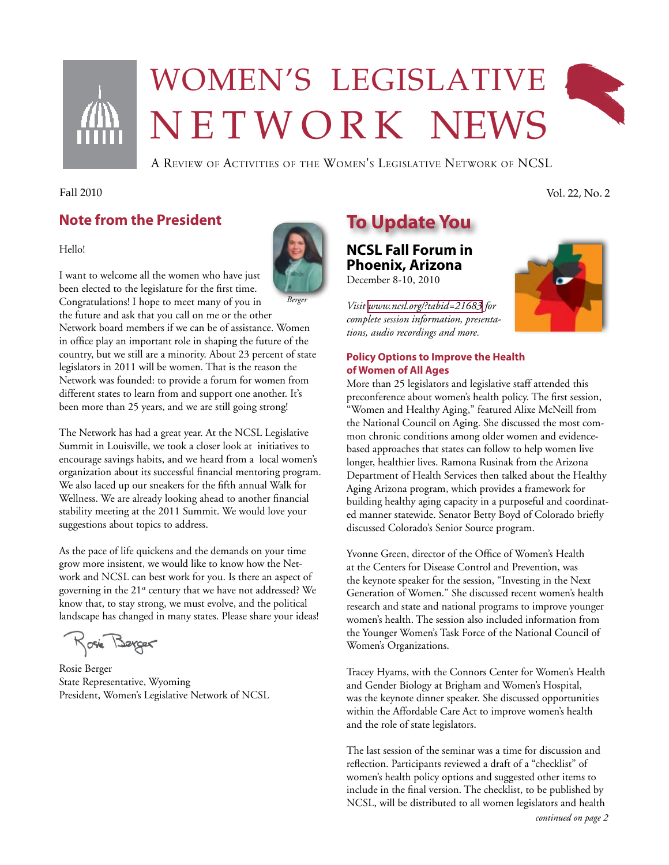

# Women's legislative N E T W O R K NEWS



A Review of Activities of the Women's Legislative Network of NCSL

## Fall 2010 Vol. 22, No. 2

**Note from the President**

#### Hello!

I want to welcome all the women who have just been elected to the legislature for the first time. Congratulations! I hope to meet many of you in the future and ask that you call on me or the other Network board members if we can be of assistance. Women in office play an important role in shaping the future of the country, but we still are a minority. About 23 percent of state legislators in 2011 will be women. That is the reason the Network was founded: to provide a forum for women from different states to learn from and support one another. It's been more than 25 years, and we are still going strong! *Berger*

The Network has had a great year. At the NCSL Legislative Summit in Louisville, we took a closer look at initiatives to encourage savings habits, and we heard from a local women's organization about its successful financial mentoring program. We also laced up our sneakers for the fifth annual Walk for Wellness. We are already looking ahead to another financial stability meeting at the 2011 Summit. We would love your suggestions about topics to address.

As the pace of life quickens and the demands on your time grow more insistent, we would like to know how the Network and NCSL can best work for you. Is there an aspect of governing in the  $21^{st}$  century that we have not addressed? We know that, to stay strong, we must evolve, and the political landscape has changed in many states. Please share your ideas!

Rosie Berger

Rosie Berger State Representative, Wyoming President, Women's Legislative Network of NCSL



# **To Update You**

**NCSL Fall Forum in Phoenix, Arizona**  December 8-10, 2010

*Visit [www.ncsl.org/?tabid=21683](http://www.ncsl.org/?tabid=21683) for complete session information, presentations, audio recordings and more.*

## **Policy Options to Improve the Health of Women of All Ages**

More than 25 legislators and legislative staff attended this preconference about women's health policy. The first session, "Women and Healthy Aging," featured Alixe McNeill from the National Council on Aging. She discussed the most common chronic conditions among older women and evidencebased approaches that states can follow to help women live longer, healthier lives. Ramona Rusinak from the Arizona Department of Health Services then talked about the Healthy Aging Arizona program, which provides a framework for building healthy aging capacity in a purposeful and coordinated manner statewide. Senator Betty Boyd of Colorado briefly discussed Colorado's Senior Source program.

Yvonne Green, director of the Office of Women's Health at the Centers for Disease Control and Prevention, was the keynote speaker for the session, "Investing in the Next Generation of Women." She discussed recent women's health research and state and national programs to improve younger women's health. The session also included information from the Younger Women's Task Force of the National Council of Women's Organizations.

Tracey Hyams, with the Connors Center for Women's Health and Gender Biology at Brigham and Women's Hospital, was the keynote dinner speaker. She discussed opportunities within the Affordable Care Act to improve women's health and the role of state legislators.

The last session of the seminar was a time for discussion and reflection. Participants reviewed a draft of a "checklist" of women's health policy options and suggested other items to include in the final version. The checklist, to be published by NCSL, will be distributed to all women legislators and health

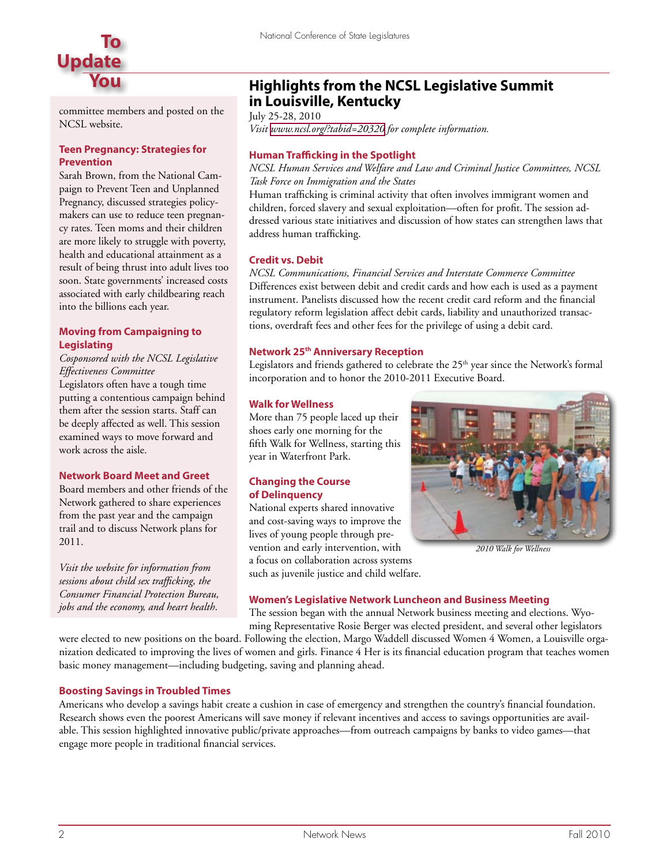

committee members and posted on the NCSL website.

### **Teen Pregnancy: Strategies for Prevention**

Sarah Brown, from the National Campaign to Prevent Teen and Unplanned Pregnancy, discussed strategies policymakers can use to reduce teen pregnancy rates. Teen moms and their children are more likely to struggle with poverty, health and educational attainment as a result of being thrust into adult lives too soon. State governments' increased costs associated with early childbearing reach into the billions each year.

## **Moving from Campaigning to Legislating**

*Cosponsored with the NCSL Legislative Effectiveness Committee*

Legislators often have a tough time putting a contentious campaign behind them after the session starts. Staff can be deeply affected as well. This session examined ways to move forward and work across the aisle.

## **Network Board Meet and Greet**

Board members and other friends of the Network gathered to share experiences from the past year and the campaign trail and to discuss Network plans for 2011.

*Visit the website for information from sessions about child sex trafficking, the Consumer Financial Protection Bureau, jobs and the economy, and heart health*.

## **Highlights from the NCSL Legislative Summit in Louisville, Kentucky**

July 25-28, 2010 *Visit [www.ncsl.org/?tabid=20320](http://www.ncsl.org/?tabid=20320) for complete information.* 

## **Human Trafficking in the Spotlight**

*NCSL Human Services and Welfare and Law and Criminal Justice Committees, NCSL Task Force on Immigration and the States*

Human trafficking is criminal activity that often involves immigrant women and children, forced slavery and sexual exploitation—often for profit. The session addressed various state initiatives and discussion of how states can strengthen laws that address human trafficking.

#### **Credit vs. Debit**

*NCSL Communications, Financial Services and Interstate Commerce Committee* Differences exist between debit and credit cards and how each is used as a payment instrument. Panelists discussed how the recent credit card reform and the financial regulatory reform legislation affect debit cards, liability and unauthorized transactions, overdraft fees and other fees for the privilege of using a debit card.

## **Network 25th Anniversary Reception**

Legislators and friends gathered to celebrate the  $25<sup>th</sup>$  year since the Network's formal incorporation and to honor the 2010-2011 Executive Board.

#### **Walk for Wellness**

More than 75 people laced up their shoes early one morning for the fifth Walk for Wellness, starting this year in Waterfront Park.

#### **Changing the Course of Delinquency**

National experts shared innovative and cost-saving ways to improve the lives of young people through prevention and early intervention, with a focus on collaboration across systems such as juvenile justice and child welfare.



*2010 Walk for Wellness*

#### **Women's Legislative Network Luncheon and Business Meeting**

The session began with the annual Network business meeting and elections. Wyoming Representative Rosie Berger was elected president, and several other legislators

were elected to new positions on the board. Following the election, Margo Waddell discussed Women 4 Women, a Louisville organization dedicated to improving the lives of women and girls. Finance 4 Her is its financial education program that teaches women basic money management—including budgeting, saving and planning ahead.

## **Boosting Savings in Troubled Times**

Americans who develop a savings habit create a cushion in case of emergency and strengthen the country's financial foundation. Research shows even the poorest Americans will save money if relevant incentives and access to savings opportunities are available. This session highlighted innovative public/private approaches—from outreach campaigns by banks to video games—that engage more people in traditional financial services.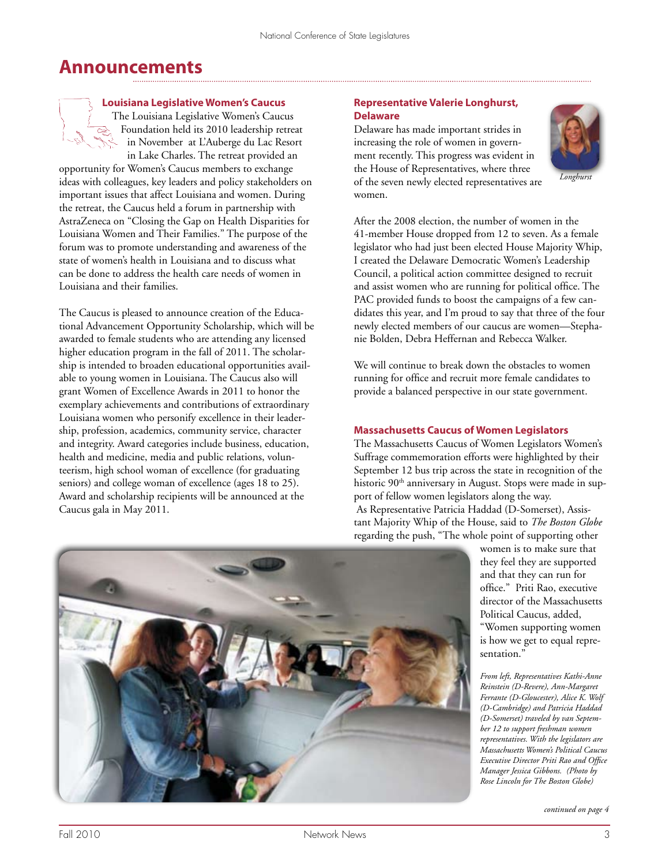# **Announcements**

## **Louisiana Legislative Women's Caucus**

The Louisiana Legislative Women's Caucus Foundation held its 2010 leadership retreat in November at L'Auberge du Lac Resort in Lake Charles. The retreat provided an

opportunity for Women's Caucus members to exchange ideas with colleagues, key leaders and policy stakeholders on important issues that affect Louisiana and women. During the retreat, the Caucus held a forum in partnership with AstraZeneca on "Closing the Gap on Health Disparities for Louisiana Women and Their Families." The purpose of the forum was to promote understanding and awareness of the state of women's health in Louisiana and to discuss what can be done to address the health care needs of women in Louisiana and their families.

The Caucus is pleased to announce creation of the Educational Advancement Opportunity Scholarship, which will be awarded to female students who are attending any licensed higher education program in the fall of 2011. The scholarship is intended to broaden educational opportunities available to young women in Louisiana. The Caucus also will grant Women of Excellence Awards in 2011 to honor the exemplary achievements and contributions of extraordinary Louisiana women who personify excellence in their leadership, profession, academics, community service, character and integrity. Award categories include business, education, health and medicine, media and public relations, volunteerism, high school woman of excellence (for graduating seniors) and college woman of excellence (ages 18 to 25). Award and scholarship recipients will be announced at the Caucus gala in May 2011.

## **Representative Valerie Longhurst, Delaware**

Delaware has made important strides in increasing the role of women in government recently. This progress was evident in the House of Representatives, where three of the seven newly elected representatives are women.



*Longhurst*

After the 2008 election, the number of women in the 41-member House dropped from 12 to seven. As a female legislator who had just been elected House Majority Whip, I created the Delaware Democratic Women's Leadership Council, a political action committee designed to recruit and assist women who are running for political office. The PAC provided funds to boost the campaigns of a few candidates this year, and I'm proud to say that three of the four newly elected members of our caucus are women—Stephanie Bolden, Debra Heffernan and Rebecca Walker.

We will continue to break down the obstacles to women running for office and recruit more female candidates to provide a balanced perspective in our state government.

## **Massachusetts Caucus of Women Legislators**

The Massachusetts Caucus of Women Legislators Women's Suffrage commemoration efforts were highlighted by their September 12 bus trip across the state in recognition of the historic 90<sup>th</sup> anniversary in August. Stops were made in support of fellow women legislators along the way.

As Representative Patricia Haddad (D-Somerset), Assistant Majority Whip of the House, said to *The Boston Globe*  regarding the push, "The whole point of supporting other

> women is to make sure that they feel they are supported and that they can run for office." Priti Rao, executive director of the Massachusetts Political Caucus, added, "Women supporting women is how we get to equal representation."

*From left, Representatives Kathi-Anne Reinstein (D-Revere), Ann-Margaret Ferrante (D-Gloucester), Alice K. Wolf (D-Cambridge) and Patricia Haddad (D-Somerset) traveled by van September 12 to support freshman women representatives. With the legislators are Massachusetts Women's Political Caucus Executive Director Priti Rao and Office Manager Jessica Gibbons. (Photo by Rose Lincoln for The Boston Globe)*

*continued on page 4*

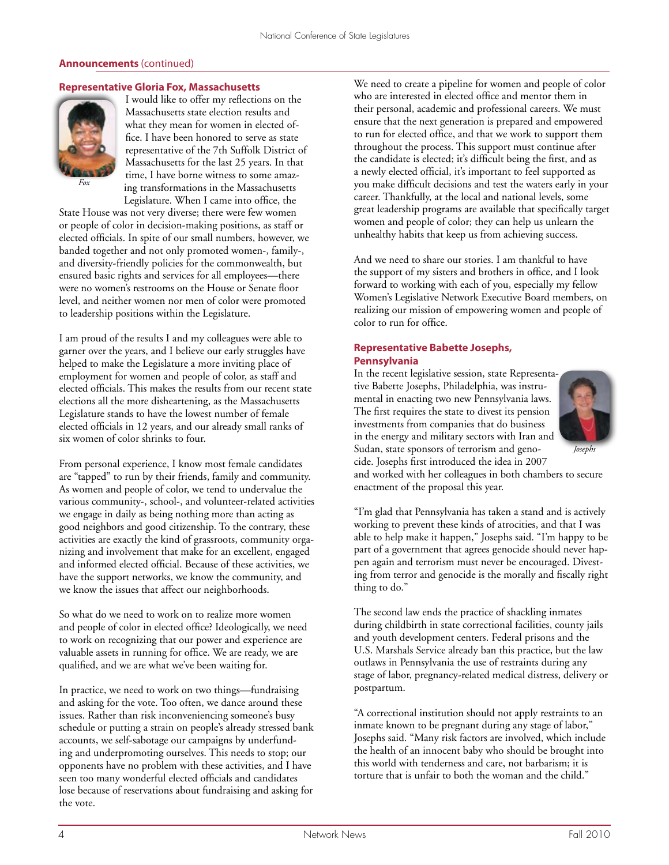## **Announcements** (continued)

## **Representative Gloria Fox, Massachusetts**



I would like to offer my reflections on the Massachusetts state election results and what they mean for women in elected office. I have been honored to serve as state representative of the 7th Suffolk District of Massachusetts for the last 25 years. In that time, I have borne witness to some amazing transformations in the Massachusetts Legislature. When I came into office, the

State House was not very diverse; there were few women or people of color in decision-making positions, as staff or elected officials. In spite of our small numbers, however, we banded together and not only promoted women-, family-, and diversity-friendly policies for the commonwealth, but ensured basic rights and services for all employees—there were no women's restrooms on the House or Senate floor level, and neither women nor men of color were promoted to leadership positions within the Legislature.

I am proud of the results I and my colleagues were able to garner over the years, and I believe our early struggles have helped to make the Legislature a more inviting place of employment for women and people of color, as staff and elected officials. This makes the results from our recent state elections all the more disheartening, as the Massachusetts Legislature stands to have the lowest number of female elected officials in 12 years, and our already small ranks of six women of color shrinks to four.

From personal experience, I know most female candidates are "tapped" to run by their friends, family and community. As women and people of color, we tend to undervalue the various community-, school-, and volunteer-related activities we engage in daily as being nothing more than acting as good neighbors and good citizenship. To the contrary, these activities are exactly the kind of grassroots, community organizing and involvement that make for an excellent, engaged and informed elected official. Because of these activities, we have the support networks, we know the community, and we know the issues that affect our neighborhoods.

So what do we need to work on to realize more women and people of color in elected office? Ideologically, we need to work on recognizing that our power and experience are valuable assets in running for office. We are ready, we are qualified, and we are what we've been waiting for.

In practice, we need to work on two things—fundraising and asking for the vote. Too often, we dance around these issues. Rather than risk inconveniencing someone's busy schedule or putting a strain on people's already stressed bank accounts, we self-sabotage our campaigns by underfunding and underpromoting ourselves. This needs to stop; our opponents have no problem with these activities, and I have seen too many wonderful elected officials and candidates lose because of reservations about fundraising and asking for the vote.

We need to create a pipeline for women and people of color who are interested in elected office and mentor them in their personal, academic and professional careers. We must ensure that the next generation is prepared and empowered to run for elected office, and that we work to support them throughout the process. This support must continue after the candidate is elected; it's difficult being the first, and as a newly elected official, it's important to feel supported as you make difficult decisions and test the waters early in your career. Thankfully, at the local and national levels, some great leadership programs are available that specifically target women and people of color; they can help us unlearn the unhealthy habits that keep us from achieving success.

And we need to share our stories. I am thankful to have the support of my sisters and brothers in office, and I look forward to working with each of you, especially my fellow Women's Legislative Network Executive Board members, on realizing our mission of empowering women and people of color to run for office.

## **Representative Babette Josephs, Pennsylvania**

In the recent legislative session, state Representative Babette Josephs, Philadelphia, was instrumental in enacting two new Pennsylvania laws. The first requires the state to divest its pension investments from companies that do business in the energy and military sectors with Iran and Sudan, state sponsors of terrorism and genocide. Josephs first introduced the idea in 2007



and worked with her colleagues in both chambers to secure enactment of the proposal this year.

"I'm glad that Pennsylvania has taken a stand and is actively working to prevent these kinds of atrocities, and that I was able to help make it happen," Josephs said. "I'm happy to be part of a government that agrees genocide should never happen again and terrorism must never be encouraged. Divesting from terror and genocide is the morally and fiscally right thing to do."

The second law ends the practice of shackling inmates during childbirth in state correctional facilities, county jails and youth development centers. Federal prisons and the U.S. Marshals Service already ban this practice, but the law outlaws in Pennsylvania the use of restraints during any stage of labor, pregnancy-related medical distress, delivery or postpartum.

"A correctional institution should not apply restraints to an inmate known to be pregnant during any stage of labor," Josephs said. "Many risk factors are involved, which include the health of an innocent baby who should be brought into this world with tenderness and care, not barbarism; it is torture that is unfair to both the woman and the child."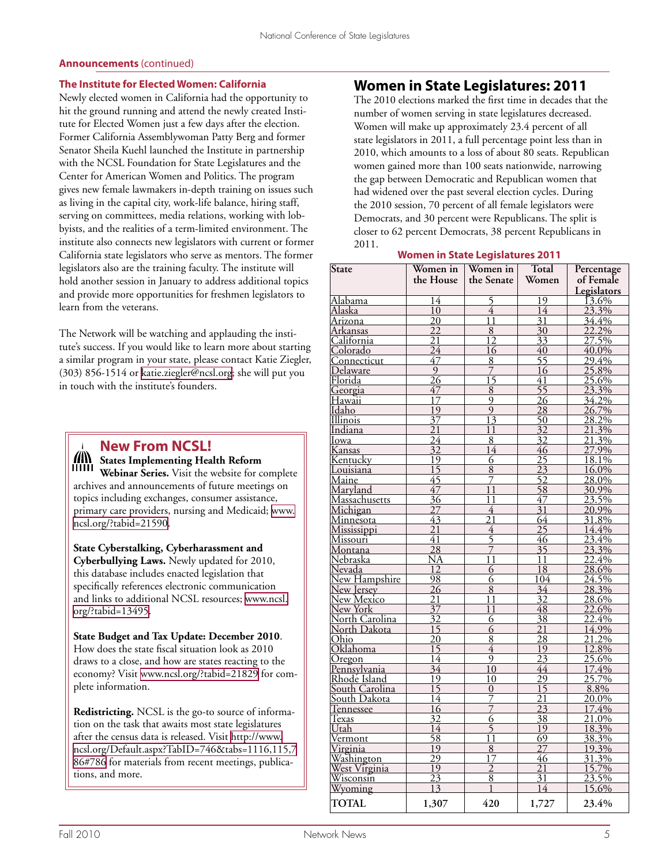## **Announcements** (continued)

## **The Institute for Elected Women: California**

Newly elected women in California had the opportunity to hit the ground running and attend the newly created Institute for Elected Women just a few days after the election. Former California Assemblywoman Patty Berg and former Senator Sheila Kuehl launched the Institute in partnership with the NCSL Foundation for State Legislatures and the Center for American Women and Politics. The program gives new female lawmakers in-depth training on issues such as living in the capital city, work-life balance, hiring staff, serving on committees, media relations, working with lobbyists, and the realities of a term-limited environment. The institute also connects new legislators with current or former California state legislators who serve as mentors. The former legislators also are the training faculty. The institute will hold another session in January to address additional topics and provide more opportunities for freshmen legislators to learn from the veterans.

The Network will be watching and applauding the institute's success. If you would like to learn more about starting a similar program in your state, please contact Katie Ziegler, (303) 856-1514 or [katie.ziegler@ncsl.org](mailto:katie.ziegler@ncsl.org); she will put you in touch with the institute's founders.

|  | <b>New From NCSL!</b><br><b>All States Implementing Health Reform</b><br><b>ITIIII Webinar Series.</b> Visit the website for complete |  |  |  |  |
|--|---------------------------------------------------------------------------------------------------------------------------------------|--|--|--|--|
|  |                                                                                                                                       |  |  |  |  |
|  |                                                                                                                                       |  |  |  |  |

archives and announcements of future meetings on topics including exchanges, consumer assistance, primary care providers, nursing and Medicaid; [www.](www.ncsl.org/?tabid=21590) [ncsl.org/?tabid=21590.](www.ncsl.org/?tabid=21590)

**State Cyberstalking, Cyberharassment and Cyberbullying Laws.** Newly updated for 2010, this database includes enacted legislation that specifically references electronic communication and links to additional NCSL resources; [www.ncsl.](www.ncsl.org/?tabid=13495) [org/?tabid=13495](www.ncsl.org/?tabid=13495).

**State Budget and Tax Update: December 2010**. How does the state fiscal situation look as 2010 draws to a close, and how are states reacting to the economy? Visit <www.ncsl.org/?tabid=21829> for complete information.

**Redistricting.** NCSL is the go-to source of information on the task that awaits most state legislatures after the census data is released. Visit [http://www.](http://www.ncsl.org/Default.aspx?TabID=746&tabs=1116,115,786#786) [ncsl.org/Default.aspx?TabID=746&tabs=1116,115,7](http://www.ncsl.org/Default.aspx?TabID=746&tabs=1116,115,786#786) [86#786](http://www.ncsl.org/Default.aspx?TabID=746&tabs=1116,115,786#786) for materials from recent meetings, publications, and more.

## **Women in State Legislatures: 2011**

The 2010 elections marked the first time in decades that the number of women serving in state legislatures decreased. Women will make up approximately 23.4 percent of all state legislators in 2011, a full percentage point less than in 2010, which amounts to a loss of about 80 seats. Republican women gained more than 100 seats nationwide, narrowing the gap between Democratic and Republican women that had widened over the past several election cycles. During the 2010 session, 70 percent of all female legislators were Democrats, and 30 percent were Republicans. The split is closer to 62 percent Democrats, 38 percent Republicans in 2011.

## **Women in State Legislatures 2011**

| State                       | Women in<br>the House             | Women in<br>the Senate | Total<br>Women                     | Percentage<br>of Female |  |
|-----------------------------|-----------------------------------|------------------------|------------------------------------|-------------------------|--|
|                             |                                   |                        |                                    | Legislators             |  |
| <u>Alabama</u>              | 14                                | 5                      | $\overline{19}$                    | $13.6\%$                |  |
| Alaska                      | 10                                | $\overline{4}$         | 14                                 | 23.3%                   |  |
| Arizona                     | $\overline{20}$                   | 11                     | $\overline{31}$                    | 34.4%                   |  |
| <u>Arkansas</u>             | $\overline{22}$                   | $\overline{8}$         | $\overline{30}$                    |                         |  |
| California                  | 21                                | $\overline{12}$        | $\overline{33}$                    | $\frac{22.2\%}{27.5\%}$ |  |
| Colorado                    | $\overline{24}$                   | 16                     | $\overline{40}$                    | 40.0%                   |  |
| Connecticut                 | 47                                | 8                      | $\overline{55}$                    | 29.4%                   |  |
| <u>Delaware</u>             | $\overline{9}$                    | 7                      | 16                                 | 25.8%                   |  |
| Florida                     | $\overline{26}$                   | $\overline{15}$        | 41                                 | 25.6%                   |  |
| Georgia                     | 47                                | $\overline{8}$         | $\overline{55}$                    | 23.3%                   |  |
| Hawaii                      | $\overline{17}$                   | $\overline{9}$         | $\overline{26}$                    | 34.2%                   |  |
| Idaho                       | $\overline{19}$                   | $\overline{9}$         | 28                                 | $\frac{26.7\%}{28.2\%}$ |  |
| Illinois                    | $\overline{37}$                   | $\overline{13}$        | $\frac{20}{50}$                    |                         |  |
| Indiana                     | $\overline{21}$                   | 11                     | $\overline{32}$                    | 21.3%                   |  |
| Iowa                        |                                   | $\overline{8}$         | $\overline{32}$                    |                         |  |
| <u>Kansas</u>               | $\frac{24}{32}$                   | $\overline{14}$        | 46                                 | $\frac{21.3\%}{27.9\%}$ |  |
| Kentucky                    | $\overline{19}$                   | $\overline{6}$         | $\overline{25}$                    | 18.1%                   |  |
| Louisiana                   | $\overline{15}$                   | $\overline{8}$         |                                    | 16.0%                   |  |
| Maine                       | 45                                | $\bar{7}$              | $\frac{23}{52}$                    | 28.0%                   |  |
| Maryland                    | 47                                | 11                     | $\overline{58}$                    | 30.9%                   |  |
| <u>Massachusetts</u>        | $\overline{36}$                   | 11                     | 47                                 | 23.5%                   |  |
| Michigan                    | $\overline{27}$                   | 4                      | $\overline{31}$                    | 20.9%                   |  |
| <u>Minnesota</u>            | $\overline{43}$                   | $\overline{21}$        | 64                                 | 31.8%                   |  |
| Mississippi                 | $\overline{21}$                   | $\overline{4}$         | $\overline{25}$                    | 14.4%                   |  |
| <u>Missouri<sup>*</sup></u> | 41                                | $\frac{5}{7}$          | 46                                 | 23.4%                   |  |
| Montana                     | 28                                |                        | $\overline{35}$                    | 23.3%                   |  |
| Nebraska                    | $\overline{\rm NA}$               | $\overline{11}$        | 11                                 | 22.4%                   |  |
| <u>Nevada</u>               | $\overline{12}$                   | 6                      | $\overline{18}$                    | 28.6%                   |  |
| New Hampshire               | 98                                | 6                      | 104                                | 24.5%                   |  |
| New Jersey                  | 26                                | 8                      | $\overline{34}$                    | 28.3%                   |  |
| <u>New Mexico</u>           | $\overline{21}$                   | 11                     | $\overline{32}$                    | 28.6%                   |  |
| New York                    | $\overline{37}$                   | 11                     | $\overline{48}$                    | 22.6%                   |  |
| <u> North Carolina</u>      | 32                                | 6                      | 38                                 | 22.4%                   |  |
| North Dakota                | $\overline{15}$                   | 6                      | $\overline{21}$                    | 14.9%                   |  |
| Ohio                        | 20                                | $\overline{8}$         | $\overline{28}$                    | $21.2\%$                |  |
| Oklahoma                    | $\overline{15}$                   | $\overline{4}$         | 19                                 | 12.8%                   |  |
| <u>Oregon</u>               | $\overline{14}$                   | 9                      | $\overline{23}$                    | 25.6%                   |  |
| Pennsylvania                | 34                                | $\overline{10}$        | 44                                 | 17.4%                   |  |
| Rhode Island                | $\overline{19}$<br>$\frac{1}{15}$ | $\overline{10}$        | 29                                 | 25.7%                   |  |
| South Carolina              |                                   | 0                      | $\overline{15}$                    | 8.8%                    |  |
| South Dakota                | $\overline{14}$<br>16             | 7                      | $\overline{21}$<br>$\overline{23}$ | 20.0%<br>17.4%          |  |
| <u>Tennessee</u>            | 32                                | $\overline{6}$         | $\overline{38}$                    | 21.0%                   |  |
| <b>Texas</b>                |                                   | $\overline{5}$         |                                    |                         |  |
| Utah                        | 14<br>$\overline{58}$             | $\overline{11}$        | 19<br>$\overline{69}$              | 18.3%                   |  |
| <u>Vermont</u>              | 19                                | 8                      | $\overline{27}$                    | $\frac{38.3\%}{19.3\%}$ |  |
| <u>Virginia</u>             | $\overline{29}$                   | $\overline{17}$        | 46                                 | 31.3%                   |  |
| <u>Washington</u>           | $\overline{19}$                   |                        | $\overline{21}$                    |                         |  |
| West Virginia<br>Wisconsin  | $\overline{23}$                   | $\frac{2}{8}$          | 31                                 | $\frac{15.7\%}{23.5\%}$ |  |
| Wyoming                     | $\overline{13}$                   | 1                      | 14                                 | 15.6%                   |  |
| <b>TOTAL</b>                | 1,307                             | 420                    | 1,727                              | 23.4%                   |  |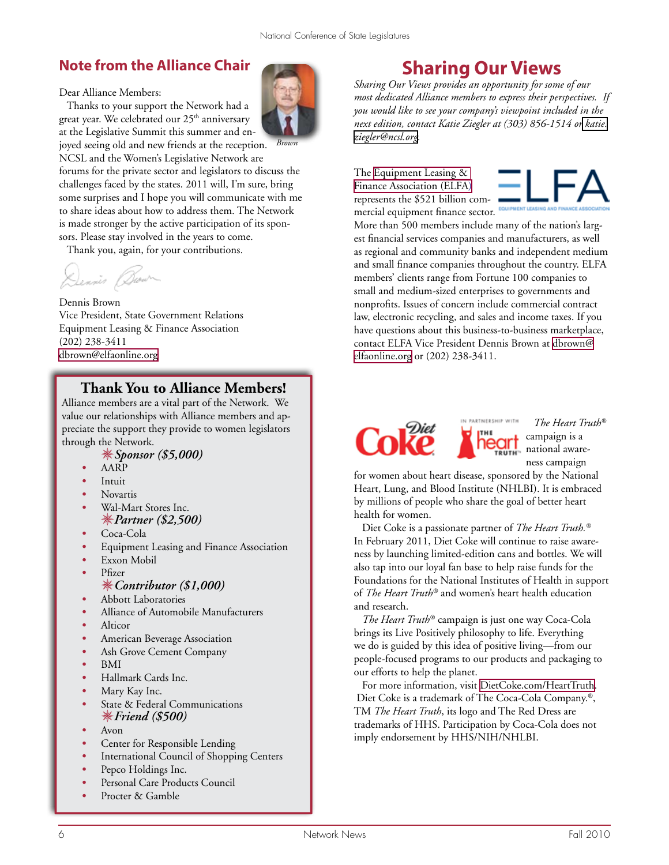## **Note from the Alliance Chair**

Dear Alliance Members:

 Thanks to your support the Network had a great year. We celebrated our 25<sup>th</sup> anniversary at the Legislative Summit this summer and en-

*Brown* joyed seeing old and new friends at the reception. NCSL and the Women's Legislative Network are forums for the private sector and legislators to discuss the challenges faced by the states. 2011 will, I'm sure, bring some surprises and I hope you will communicate with me to share ideas about how to address them. The Network is made stronger by the active participation of its sponsors. Please stay involved in the years to come.

Thank you, again, for your contributions.

Dennis Burn

#### Dennis Brown

Vice President, State Government Relations Equipment Leasing & Finance Association (202) 238-3411 [dbrown@elfaonline.org](mailto:dbrown@elfaonline.org)

## **Thank You to Alliance Members!**

Alliance members are a vital part of the Network. We value our relationships with Alliance members and appreciate the support they provide to women legislators through the Network.

## *Sponsor (\$5,000)*

- *•* AARP
- *•* Intuit
- *•* Novartis
- *•* Wal-Mart Stores Inc. *Partner (\$2,500)*
- *•* Coca-Cola
- *•* Equipment Leasing and Finance Association
- *•* Exxon Mobil
- *•* Pfizer

## *Contributor (\$1,000)*

- *•* Abbott Laboratories
- *•* Alliance of Automobile Manufacturers
- *•* Alticor
- *•* American Beverage Association
- *•* Ash Grove Cement Company
- *•* BMI
- *•* Hallmark Cards Inc.
- *•* Mary Kay Inc.
- **State & Federal Communications** *Friend (\$500)*
- *•* Avon
- *•* Center for Responsible Lending
- **International Council of Shopping Centers**
- *•* Pepco Holdings Inc.
- Personal Care Products Council
- *•* Procter & Gamble



# **Sharing Our Views**

*Sharing Our Views provides an opportunity for some of our most dedicated Alliance members to express their perspectives. If you would like to see your company's viewpoint included in the next edition, contact Katie Ziegler at (303) 856-1514 o[r katie.]( katie.ziegler@ncsl.org) [ziegler@ncsl.org]( katie.ziegler@ncsl.org).* 

The [Equipment Leasing &](http://www.elfaonline.org/)  [Finance Association \(ELFA\)](http://www.elfaonline.org/) represents the \$521 billion commercial equipment finance sector. **EQUIPMENT LEASING** A



More than 500 members include many of the nation's largest financial services companies and manufacturers, as well as regional and community banks and independent medium and small finance companies throughout the country. ELFA members' clients range from Fortune 100 companies to small and medium-sized enterprises to governments and nonprofits. Issues of concern include commercial contract law, electronic recycling, and sales and income taxes. If you have questions about this business-to-business marketplace, contact ELFA Vice President Dennis Brown at [dbrown@](mailto:dbrown@elfaonline.org) [elfaonline.org](mailto:dbrown@elfaonline.org) or (202) 238-3411.



PARTNERSHIP WITH  *The Heart Truth®* **Circ** campaign is a national awareness campaign

for women about heart disease, sponsored by the National Heart, Lung, and Blood Institute (NHLBI). It is embraced by millions of people who share the goal of better heart health for women.

 Diet Coke is a passionate partner of *The Heart Truth.®* In February 2011, Diet Coke will continue to raise awareness by launching limited-edition cans and bottles. We will also tap into our loyal fan base to help raise funds for the Foundations for the National Institutes of Health in support of *The Heart Truth®* and women's heart health education and research.

 *The Heart Truth®* campaign is just one way Coca-Cola brings its Live Positively philosophy to life. Everything we do is guided by this idea of positive living—from our people-focused programs to our products and packaging to our efforts to help the planet.

 For more information, visit<DietCoke.com/HeartTruth>. Diet Coke is a trademark of The Coca-Cola Company.®, TM *The Heart Truth*, its logo and The Red Dress are trademarks of HHS. Participation by Coca-Cola does not imply endorsement by HHS/NIH/NHLBI.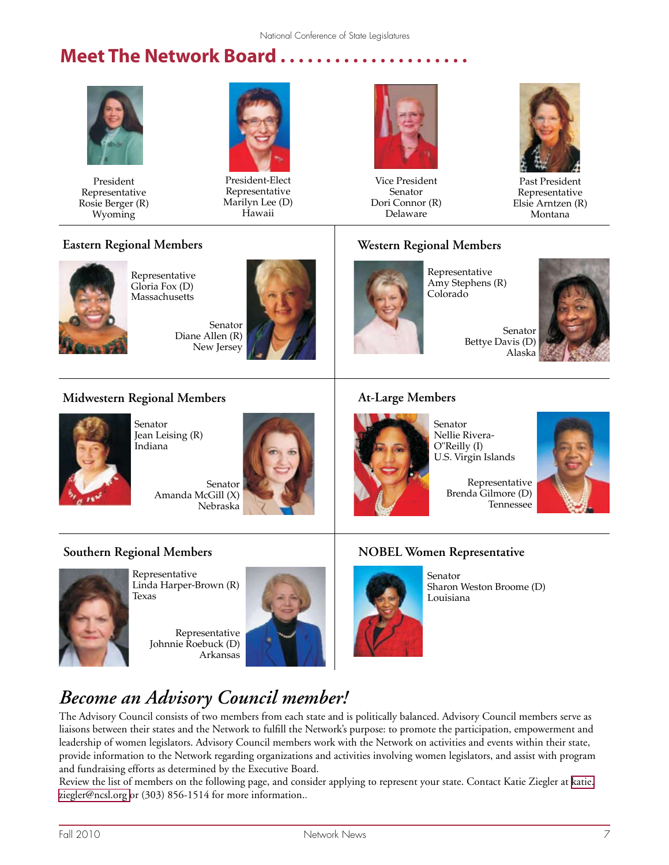# **Meet The Network Board . . . . . . . . . . . . . . . . . . . . .**



President Representative Rosie Berger (R) Wyoming



President-Elect Representative Marilyn Lee (D) Hawaii



Vice President Senator Dori Connor (R) Delaware



Past President Representative Elsie Arntzen (R) Montana



Representative Gloria Fox (D) **Massachusetts** 

Senator Diane Allen (R) New Jersey



## **Western Regional Members**



Representative Amy Stephens (R) Colorado

Senator Bettye Davis (D) Alaska



## **Midwestern Regional Members**



Senator Jean Leising (R) Indiana

Senator Amanda McGill (X) Nebraska



## **At-Large Members**



Senator Nellie Rivera-O"Reilly (I) U.S. Virgin Islands

Representative Brenda Gilmore (D) Tennessee



## **Southern Regional Members**



Representative Linda Harper-Brown (R) Texas

Representative Johnnie Roebuck (D) Arkansas



## **NOBEL Women Representative**



Senator Sharon Weston Broome (D) Louisiana

# *Become an Advisory Council member!*

The Advisory Council consists of two members from each state and is politically balanced. Advisory Council members serve as liaisons between their states and the Network to fulfill the Network's purpose: to promote the participation, empowerment and leadership of women legislators. Advisory Council members work with the Network on activities and events within their state, provide information to the Network regarding organizations and activities involving women legislators, and assist with program and fundraising efforts as determined by the Executive Board.

Review the list of members on the following page, and consider applying to represent your state. Contact Katie Ziegler at [katie.](mailto:katie.ziegler@ncsl.org ) [ziegler@ncsl.org](mailto:katie.ziegler@ncsl.org ) or (303) 856-1514 for more information..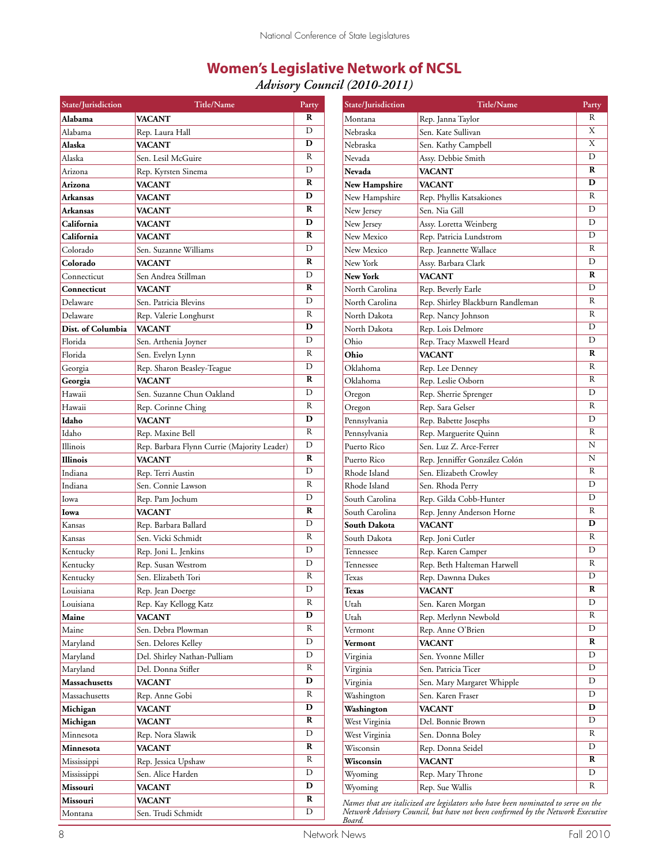# **Women's Legislative Network of NCSL**

*Advisory Council (2010-2011)*

| State/Jurisdiction | Title/Name                                  | Party            | State/Jurisdiction                                                                | <b>Title/Name</b>                | Party                   |  |
|--------------------|---------------------------------------------|------------------|-----------------------------------------------------------------------------------|----------------------------------|-------------------------|--|
| Alabama            | <b>VACANT</b>                               | ${\bf R}$        | Montana                                                                           | Rep. Janna Taylor                | $\overline{\text{R}}$   |  |
| Alabama            | Rep. Laura Hall                             | D                | Nebraska                                                                          | Sen. Kate Sullivan               | $\overline{\text{X}}$   |  |
| Alaska             | <b>VACANT</b>                               | D                | Nebraska                                                                          | Sen. Kathy Campbell              | X                       |  |
| Alaska             | Sen. Lesil McGuire                          | R                | Nevada                                                                            | Assy. Debbie Smith               | D                       |  |
| Arizona            | Rep. Kyrsten Sinema                         | D                | <b>Nevada</b>                                                                     | <b>VACANT</b>                    | ${\bf R}$               |  |
| Arizona            | <b>VACANT</b>                               | R                | New Hampshire                                                                     | <b>VACANT</b>                    | D                       |  |
| Arkansas           | <b>VACANT</b>                               | D                | New Hampshire                                                                     | Rep. Phyllis Katsakiones         | ${\bf R}$               |  |
| <b>Arkansas</b>    | <b>VACANT</b>                               | R                | New Jersey                                                                        | Sen. Nia Gill                    | D                       |  |
| California         | <b>VACANT</b>                               | D                | New Jersey                                                                        | Assy. Loretta Weinberg           | D                       |  |
| California         | <b>VACANT</b>                               | $\mathbf R$      | New Mexico                                                                        | Rep. Patricia Lundstrom          | D                       |  |
| Colorado           | Sen. Suzanne Williams                       | D                | New Mexico                                                                        | Rep. Jeannette Wallace           | ${\bf R}$               |  |
| Colorado           | <b>VACANT</b>                               | R                | New York                                                                          | Assy. Barbara Clark              | D                       |  |
| Connecticut        | Sen Andrea Stillman                         | D                | New York                                                                          | <b>VACANT</b>                    | ${\bf R}$               |  |
| Connecticut        | <b>VACANT</b>                               | R                | North Carolina                                                                    | Rep. Beverly Earle               | D                       |  |
| Delaware           | Sen. Patricia Blevins                       | D                | North Carolina                                                                    | Rep. Shirley Blackburn Randleman | $\, {\bf R}$            |  |
| Delaware           | Rep. Valerie Longhurst                      | R                | North Dakota                                                                      | Rep. Nancy Johnson               | ${\bf R}$               |  |
| Dist. of Columbia  | <b>VACANT</b>                               | D                | North Dakota                                                                      | Rep. Lois Delmore                | D                       |  |
| Florida            | Sen. Arthenia Joyner                        | D                | Ohio                                                                              | Rep. Tracy Maxwell Heard         | D                       |  |
| Florida            | Sen. Evelyn Lynn                            | R                | Ohio                                                                              | <b>VACANT</b>                    | ${\bf R}$               |  |
| Georgia            | Rep. Sharon Beasley-Teague                  | D                | Oklahoma                                                                          | Rep. Lee Denney                  | $\, {\bf R}$            |  |
| Georgia            | <b>VACANT</b>                               | $\bf R$          | Oklahoma                                                                          | Rep. Leslie Osborn               | R                       |  |
| Hawaii             | Sen. Suzanne Chun Oakland                   | D                | Oregon                                                                            | Rep. Sherrie Sprenger            | D                       |  |
| Hawaii             | Rep. Corinne Ching                          | R                | Oregon                                                                            | Rep. Sara Gelser                 | ${\bf R}$               |  |
| Idaho              | <b>VACANT</b>                               | D                | Pennsylvania                                                                      | Rep. Babette Josephs             | D                       |  |
| Idaho              | Rep. Maxine Bell                            | R                | Pennsylvania                                                                      | Rep. Marguerite Quinn            | ${\bf R}$               |  |
| Illinois           | Rep. Barbara Flynn Currie (Majority Leader) | D                | Puerto Rico                                                                       | Sen. Luz Z. Arce-Ferrer          | N                       |  |
| <b>Illinois</b>    | <b>VACANT</b>                               | $\bf R$          | Puerto Rico                                                                       | Rep. Jenniffer González Colón    | N                       |  |
| Indiana            | Rep. Terri Austin                           | D                | Rhode Island                                                                      | Sen. Elizabeth Crowley           | $\, {\bf R}$            |  |
| Indiana            | Sen. Connie Lawson                          | R                | Rhode Island                                                                      | Sen. Rhoda Perry                 | D                       |  |
| Iowa               | Rep. Pam Jochum                             | D                | South Carolina                                                                    | Rep. Gilda Cobb-Hunter           | D                       |  |
| Iowa               | <b>VACANT</b>                               | $\bf R$          | South Carolina                                                                    | Rep. Jenny Anderson Horne        | ${\bf R}$               |  |
| Kansas             | Rep. Barbara Ballard                        | D                | South Dakota                                                                      | <b>VACANT</b>                    | D                       |  |
| Kansas             | Sen. Vicki Schmidt                          | R                | South Dakota                                                                      | Rep. Joni Cutler                 | ${\bf R}$               |  |
| Kentucky           | Rep. Joni L. Jenkins                        | D                | Tennessee                                                                         | Rep. Karen Camper                | D                       |  |
| Kentucky           | Rep. Susan Westrom                          | D                | Tennessee                                                                         | Rep. Beth Halteman Harwell       | ${\bf R}$               |  |
| Kentucky           | Sen. Elizabeth Tori                         | R                |                                                                                   | Rep. Dawnna Dukes                | $\mathbf D$             |  |
| Louisiana          |                                             | $\mathbf D$      | Texas<br><b>Texas</b>                                                             | <b>VACANT</b>                    | $\overline{\mathbf{R}}$ |  |
|                    | Rep. Jean Doerge                            | R                |                                                                                   |                                  | D                       |  |
| Louisiana          | Rep. Kay Kellogg Katz                       | D                | Utah                                                                              | Sen. Karen Morgan                | R                       |  |
| Maine              | <b>VACANT</b>                               | R                | Utah                                                                              | Rep. Merlynn Newbold             | D                       |  |
| Maine              | Sen. Debra Plowman                          | $\mathbf D$      | Vermont                                                                           | Rep. Anne O'Brien                | R                       |  |
| Maryland           | Sen. Delores Kelley                         | $\mathbf D$      | Vermont                                                                           | <b>VACANT</b>                    | D                       |  |
| Maryland           | Del. Shirley Nathan-Pulliam                 | R                | Virginia                                                                          | Sen. Yvonne Miller               | D                       |  |
| Maryland           | Del. Donna Stifler                          | $\mathbf D$      | Virginia                                                                          | Sen. Patricia Ticer              | D                       |  |
| Massachusetts      | <b>VACANT</b>                               | R                | Virginia                                                                          | Sen. Mary Margaret Whipple       | D                       |  |
| Massachusetts      | Rep. Anne Gobi                              | $\mathbf D$      | Washington                                                                        | Sen. Karen Fraser                | $\mathbf D$             |  |
| Michigan           | <b>VACANT</b>                               | R                | Washington                                                                        | <b>VACANT</b>                    | D                       |  |
| Michigan           | <b>VACANT</b>                               | $\mathbf D$      | West Virginia                                                                     | Del. Bonnie Brown                | R                       |  |
| Minnesota          | Rep. Nora Slawik                            | R                | West Virginia                                                                     | Sen. Donna Boley                 | D                       |  |
| Minnesota          | <b>VACANT</b>                               |                  | Wisconsin                                                                         | Rep. Donna Seidel                |                         |  |
| Mississippi        | Rep. Jessica Upshaw                         | R<br>$\mathbf D$ | Wisconsin                                                                         | <b>VACANT</b>                    | R                       |  |
| Mississippi        | Sen. Alice Harden                           |                  | Wyoming                                                                           | Rep. Mary Throne                 | D                       |  |
| Missouri           | <b>VACANT</b>                               | D                | Wyoming                                                                           | Rep. Sue Wallis                  | R                       |  |
| Missouri           | <b>VACANT</b>                               | R                | Names that are italicized are legislators who have been nominated to serve on the |                                  |                         |  |
| Montana            | Sen. Trudi Schmidt                          | D                | Network Advisory Council, but have not been confirmed by the Network Executive    |                                  |                         |  |

*Board.*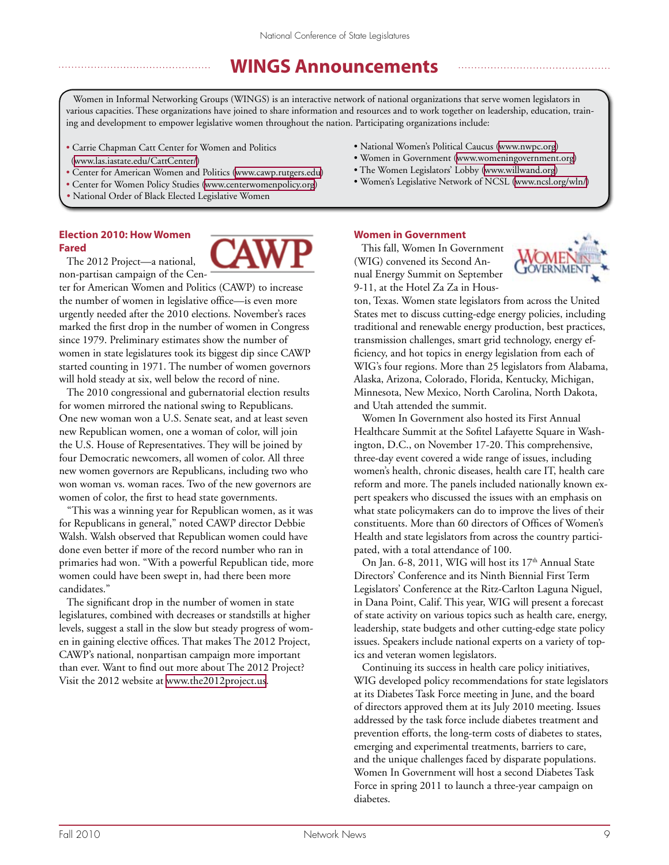# **WINGS Announcements**

Women in Informal Networking Groups (WINGS) is an interactive network of national organizations that serve women legislators in various capacities. These organizations have joined to share information and resources and to work together on leadership, education, training and development to empower legislative women throughout the nation. Participating organizations include:

- Carrie Chapman Catt Center for Women and Politics (<www.las.iastate.edu/CattCenter/>)
- Center for American Women and Politics [\(www.cawp.rutgers.edu\)](http://www.cawp.rutgers.edu)
- Center for Women Policy Studies ([www.centerwomenpolicy.org\)](http://www.centerwomenpolicy.org)
- National Order of Black Elected Legislative Women

## **Election 2010: How Women Fared**

 The 2012 Project—a national, non-partisan campaign of the Cen-

ter for American Women and Politics (CAWP) to increase the number of women in legislative office—is even more urgently needed after the 2010 elections. November's races marked the first drop in the number of women in Congress since 1979. Preliminary estimates show the number of women in state legislatures took its biggest dip since CAWP started counting in 1971. The number of women governors will hold steady at six, well below the record of nine.

 The 2010 congressional and gubernatorial election results for women mirrored the national swing to Republicans. One new woman won a U.S. Senate seat, and at least seven new Republican women, one a woman of color, will join the U.S. House of Representatives. They will be joined by four Democratic newcomers, all women of color. All three new women governors are Republicans, including two who won woman vs. woman races. Two of the new governors are women of color, the first to head state governments.

 "This was a winning year for Republican women, as it was for Republicans in general," noted CAWP director Debbie Walsh. Walsh observed that Republican women could have done even better if more of the record number who ran in primaries had won. "With a powerful Republican tide, more women could have been swept in, had there been more candidates."

 The significant drop in the number of women in state legislatures, combined with decreases or standstills at higher levels, suggest a stall in the slow but steady progress of women in gaining elective offices. That makes The 2012 Project, CAWP's national, nonpartisan campaign more important than ever. Want to find out more about The 2012 Project? Visit the 2012 website at [www.the2012project.us.](www.the2012project.us)

- National Women's Political Caucus ([www.nwpc.org\)](http://www.nwpc.org)
- Women in Government ([www.womeningovernment.org](http://www.womeningovernment.org))
- The Women Legislators' Lobby ([www.willwand.org](http://www.willwand.org))
- Women's Legislative Network of NCSL ([www.ncsl.org/wln/\)](http://www.ncsl.org/wln/)

#### **Women in Government**

 This fall, Women In Government (WIG) convened its Second Annual Energy Summit on September 9-11, at the Hotel Za Za in Hous-



ton, Texas. Women state legislators from across the United States met to discuss cutting-edge energy policies, including traditional and renewable energy production, best practices, transmission challenges, smart grid technology, energy efficiency, and hot topics in energy legislation from each of WIG's four regions. More than 25 legislators from Alabama, Alaska, Arizona, Colorado, Florida, Kentucky, Michigan, Minnesota, New Mexico, North Carolina, North Dakota, and Utah attended the summit.

 Women In Government also hosted its First Annual Healthcare Summit at the Sofitel Lafayette Square in Washington, D.C., on November 17-20. This comprehensive, three-day event covered a wide range of issues, including women's health, chronic diseases, health care IT, health care reform and more. The panels included nationally known expert speakers who discussed the issues with an emphasis on what state policymakers can do to improve the lives of their constituents. More than 60 directors of Offices of Women's Health and state legislators from across the country participated, with a total attendance of 100.

On Jan. 6-8, 2011, WIG will host its  $17<sup>th</sup>$  Annual State Directors' Conference and its Ninth Biennial First Term Legislators' Conference at the Ritz-Carlton Laguna Niguel, in Dana Point, Calif. This year, WIG will present a forecast of state activity on various topics such as health care, energy, leadership, state budgets and other cutting-edge state policy issues. Speakers include national experts on a variety of topics and veteran women legislators.

 Continuing its success in health care policy initiatives, WIG developed policy recommendations for state legislators at its Diabetes Task Force meeting in June, and the board of directors approved them at its July 2010 meeting. Issues addressed by the task force include diabetes treatment and prevention efforts, the long-term costs of diabetes to states, emerging and experimental treatments, barriers to care, and the unique challenges faced by disparate populations. Women In Government will host a second Diabetes Task Force in spring 2011 to launch a three-year campaign on diabetes.